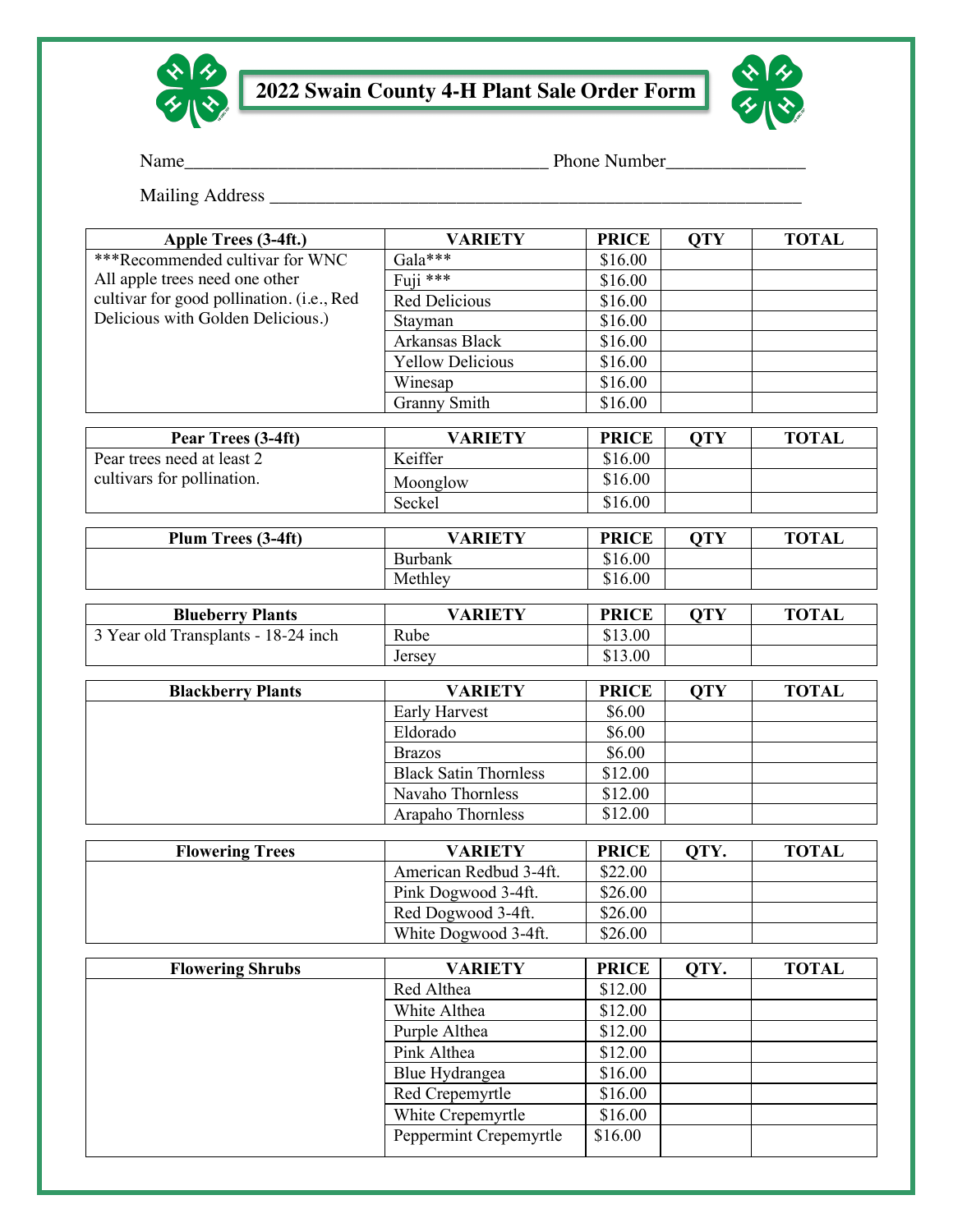



Name\_\_\_\_\_\_\_\_\_\_\_\_\_\_\_\_\_\_\_\_\_\_\_\_\_\_\_\_\_\_\_\_\_\_\_\_\_\_\_ Phone Number\_\_\_\_\_\_\_\_\_\_\_\_\_\_\_

Mailing Address \_\_\_\_\_\_\_\_\_\_\_\_\_\_\_\_\_\_\_\_\_\_\_\_\_\_\_\_\_\_\_\_\_\_\_\_\_\_\_\_\_\_\_\_\_\_\_\_\_\_\_\_\_\_\_\_\_

| Apple Trees (3-4ft.)                      | <b>VARIETY</b>                                         | <b>PRICE</b>       | <b>OTY</b> | <b>TOTAL</b> |
|-------------------------------------------|--------------------------------------------------------|--------------------|------------|--------------|
| ***Recommended cultivar for WNC           | Gala***                                                | \$16.00            |            |              |
| All apple trees need one other            | Fuji ***                                               | \$16.00            |            |              |
| cultivar for good pollination. (i.e., Red | Red Delicious                                          | \$16.00            |            |              |
| Delicious with Golden Delicious.)         | Stayman                                                | \$16.00            |            |              |
|                                           | Arkansas Black                                         | \$16.00            |            |              |
|                                           | <b>Yellow Delicious</b>                                | \$16.00            |            |              |
|                                           | Winesap                                                | \$16.00            |            |              |
|                                           | <b>Granny Smith</b>                                    | \$16.00            |            |              |
|                                           |                                                        |                    |            |              |
| Pear Trees (3-4ft)                        | <b>VARIETY</b>                                         | <b>PRICE</b>       | <b>OTY</b> | <b>TOTAL</b> |
| Pear trees need at least 2                | Keiffer                                                | \$16.00            |            |              |
| cultivars for pollination.                | Moonglow                                               | \$16.00            |            |              |
|                                           | Seckel                                                 | \$16.00            |            |              |
| Plum Trees (3-4ft)                        | <b>VARIETY</b>                                         | <b>PRICE</b>       | <b>OTY</b> | <b>TOTAL</b> |
|                                           | <b>Burbank</b>                                         | \$16.00            |            |              |
|                                           | Methley                                                | \$16.00            |            |              |
|                                           |                                                        |                    |            |              |
| <b>Blueberry Plants</b>                   | <b>VARIETY</b>                                         | <b>PRICE</b>       | <b>QTY</b> | <b>TOTAL</b> |
| 3 Year old Transplants - 18-24 inch       | Rube                                                   | \$13.00            |            |              |
|                                           | Jersey                                                 | \$13.00            |            |              |
|                                           |                                                        |                    |            |              |
| <b>Blackberry Plants</b>                  | <b>VARIETY</b>                                         | <b>PRICE</b>       | <b>OTY</b> | <b>TOTAL</b> |
|                                           | <b>Early Harvest</b>                                   | \$6.00             |            |              |
|                                           | Eldorado                                               | \$6.00             |            |              |
|                                           | <b>Brazos</b><br><b>Black Satin Thornless</b>          | \$6.00             |            |              |
|                                           | Navaho Thornless                                       | \$12.00            |            |              |
|                                           | Arapaho Thornless                                      | \$12.00<br>\$12.00 |            |              |
|                                           |                                                        |                    |            |              |
| <b>Flowering Trees</b>                    | <b>VARIETY</b><br>OTY.<br><b>TOTAL</b><br><b>PRICE</b> |                    |            |              |
|                                           | American Redbud 3-4ft.                                 | \$22.00            |            |              |
|                                           | Pink Dogwood 3-4ft.                                    | \$26.00            |            |              |
|                                           | Red Dogwood 3-4ft.                                     | \$26.00            |            |              |
|                                           | White Dogwood 3-4ft.                                   | \$26.00            |            |              |
|                                           |                                                        |                    |            |              |
| <b>Flowering Shrubs</b>                   | <b>VARIETY</b>                                         | <b>PRICE</b>       | QTY.       | <b>TOTAL</b> |
|                                           | Red Althea                                             | \$12.00            |            |              |
|                                           | White Althea                                           | \$12.00            |            |              |
|                                           | Purple Althea                                          | \$12.00            |            |              |
|                                           | Pink Althea                                            | \$12.00            |            |              |
|                                           | Blue Hydrangea                                         | \$16.00            |            |              |
|                                           | Red Crepemyrtle                                        | \$16.00            |            |              |
|                                           | White Crepemyrtle                                      | \$16.00            |            |              |
|                                           | Peppermint Crepemyrtle                                 | \$16.00            |            |              |
|                                           |                                                        |                    |            |              |